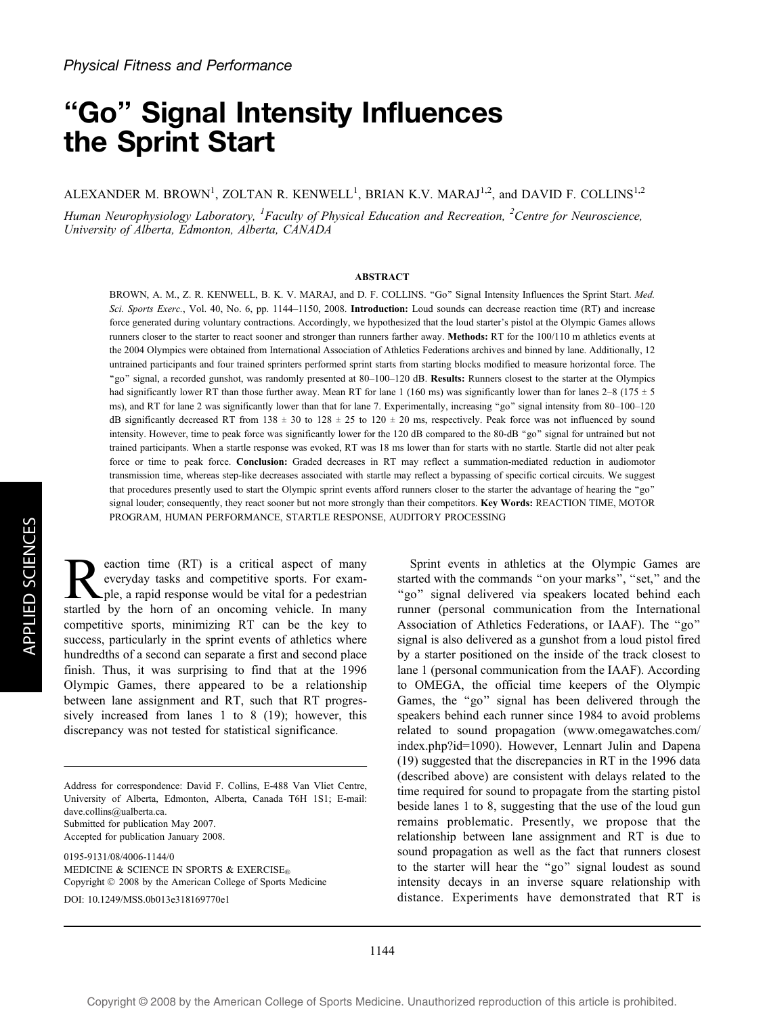# ''Go'' Signal Intensity Influences the Sprint Start

ALEXANDER M. BROWN<sup>1</sup>, ZOLTAN R. KENWELL<sup>1</sup>, BRIAN K.V. MARAJ<sup>1,2</sup>, and DAVID F. COLLINS<sup>1,2</sup>

Human Neurophysiology Laboratory, <sup>1</sup>Faculty of Physical Education and Recreation, <sup>2</sup>Centre for Neuroscience, University of Alberta, Edmonton, Alberta, CANADA

### ABSTRACT

BROWN, A. M., Z. R. KENWELL, B. K. V. MARAJ, and D. F. COLLINS. "Go" Signal Intensity Influences the Sprint Start. Med. Sci. Sports Exerc., Vol. 40, No. 6, pp. 1144-1150, 2008. Introduction: Loud sounds can decrease reaction time (RT) and increase force generated during voluntary contractions. Accordingly, we hypothesized that the loud starter's pistol at the Olympic Games allows runners closer to the starter to react sooner and stronger than runners farther away. Methods: RT for the 100/110 m athletics events at the 2004 Olympics were obtained from International Association of Athletics Federations archives and binned by lane. Additionally, 12 untrained participants and four trained sprinters performed sprint starts from starting blocks modified to measure horizontal force. The ''go'' signal, a recorded gunshot, was randomly presented at 80–100–120 dB. Results: Runners closest to the starter at the Olympics had significantly lower RT than those further away. Mean RT for lane 1 (160 ms) was significantly lower than for lanes 2–8 (175  $\pm$  5 ms), and RT for lane 2 was significantly lower than that for lane 7. Experimentally, increasing "go" signal intensity from 80–100–120 dB significantly decreased RT from 138  $\pm$  30 to 128  $\pm$  25 to 120  $\pm$  20 ms, respectively. Peak force was not influenced by sound intensity. However, time to peak force was significantly lower for the 120 dB compared to the 80-dB "go" signal for untrained but not trained participants. When a startle response was evoked, RT was 18 ms lower than for starts with no startle. Startle did not alter peak force or time to peak force. Conclusion: Graded decreases in RT may reflect a summation-mediated reduction in audiomotor transmission time, whereas step-like decreases associated with startle may reflect a bypassing of specific cortical circuits. We suggest that procedures presently used to start the Olympic sprint events afford runners closer to the starter the advantage of hearing the ''go'' signal louder; consequently, they react sooner but not more strongly than their competitors. Key Words: REACTION TIME, MOTOR PROGRAM, HUMAN PERFORMANCE, STARTLE RESPONSE, AUDITORY PROCESSING

Reaction time (RT) is a critical aspect of many<br>everyday tasks and competitive sports. For exam-<br>startled by the horn of an oncoming vehicle In many everyday tasks and competitive sports. For example, a rapid response would be vital for a pedestrian startled by the horn of an oncoming vehicle. In many competitive sports, minimizing RT can be the key to success, particularly in the sprint events of athletics where hundredths of a second can separate a first and second place finish. Thus, it was surprising to find that at the 1996 Olympic Games, there appeared to be a relationship between lane assignment and RT, such that RT progressively increased from lanes 1 to 8 (19); however, this discrepancy was not tested for statistical significance.

DOI: 10.1249/MSS.0b013e318169770e1

Sprint events in athletics at the Olympic Games are started with the commands "on your marks", "set," and the "go" signal delivered via speakers located behind each runner (personal communication from the International Association of Athletics Federations, or IAAF). The ''go'' signal is also delivered as a gunshot from a loud pistol fired by a starter positioned on the inside of the track closest to lane 1 (personal communication from the IAAF). According to OMEGA, the official time keepers of the Olympic Games, the "go" signal has been delivered through the speakers behind each runner since 1984 to avoid problems related to sound propagation (www.omegawatches.com/ index.php?id=1090). However, Lennart Julin and Dapena (19) suggested that the discrepancies in RT in the 1996 data (described above) are consistent with delays related to the time required for sound to propagate from the starting pistol beside lanes 1 to 8, suggesting that the use of the loud gun remains problematic. Presently, we propose that the relationship between lane assignment and RT is due to sound propagation as well as the fact that runners closest to the starter will hear the ''go'' signal loudest as sound intensity decays in an inverse square relationship with distance. Experiments have demonstrated that RT is

Address for correspondence: David F. Collins, E-488 Van Vliet Centre, University of Alberta, Edmonton, Alberta, Canada T6H 1S1; E-mail: dave.collins@ualberta.ca. Submitted for publication May 2007. Accepted for publication January 2008. 0195-9131/08/4006-1144/0 MEDICINE & SCIENCE IN SPORTS & EXERCISE® Copyright  $\odot$  2008 by the American College of Sports Medicine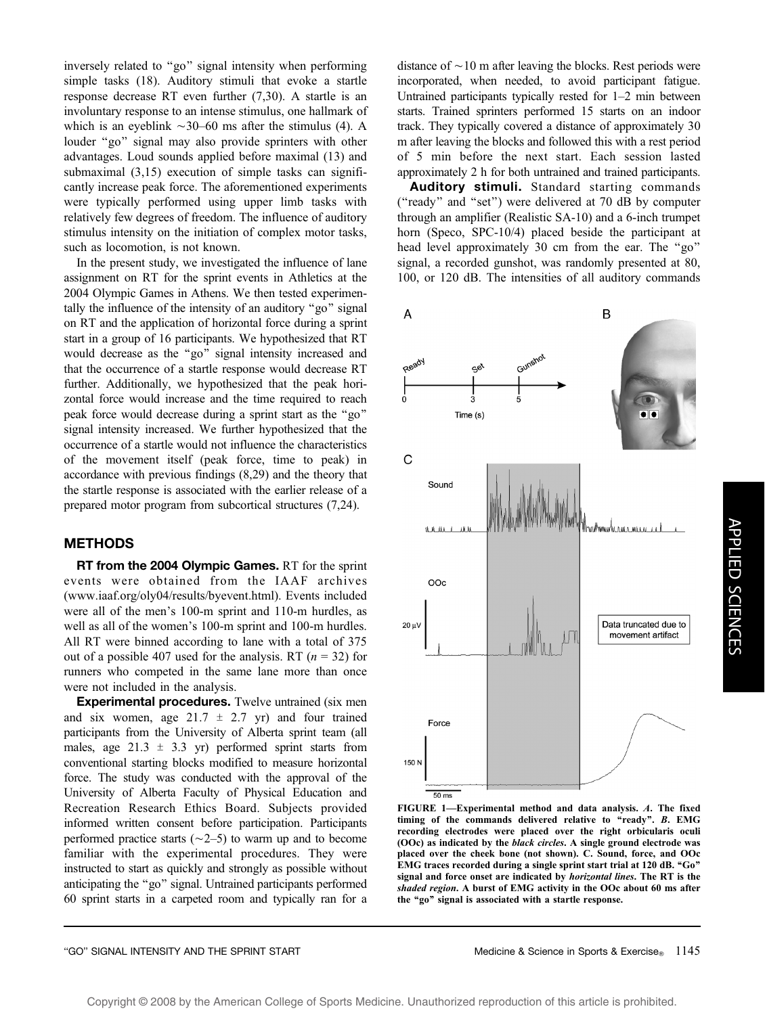inversely related to ''go'' signal intensity when performing simple tasks (18). Auditory stimuli that evoke a startle response decrease RT even further (7,30). A startle is an involuntary response to an intense stimulus, one hallmark of which is an eyeblink  $\sim$ 30–60 ms after the stimulus (4). A louder ''go'' signal may also provide sprinters with other advantages. Loud sounds applied before maximal (13) and submaximal (3,15) execution of simple tasks can significantly increase peak force. The aforementioned experiments were typically performed using upper limb tasks with relatively few degrees of freedom. The influence of auditory stimulus intensity on the initiation of complex motor tasks, such as locomotion, is not known.

In the present study, we investigated the influence of lane assignment on RT for the sprint events in Athletics at the 2004 Olympic Games in Athens. We then tested experimentally the influence of the intensity of an auditory "go" signal on RT and the application of horizontal force during a sprint start in a group of 16 participants. We hypothesized that RT would decrease as the ''go'' signal intensity increased and that the occurrence of a startle response would decrease RT further. Additionally, we hypothesized that the peak horizontal force would increase and the time required to reach peak force would decrease during a sprint start as the ''go'' signal intensity increased. We further hypothesized that the occurrence of a startle would not influence the characteristics of the movement itself (peak force, time to peak) in accordance with previous findings (8,29) and the theory that the startle response is associated with the earlier release of a prepared motor program from subcortical structures (7,24).

# METHODS

**RT from the 2004 Olympic Games.** RT for the sprint events were obtained from the IAAF archives (www.iaaf.org/oly04/results/byevent.html). Events included were all of the men's 100-m sprint and 110-m hurdles, as well as all of the women's 100-m sprint and 100-m hurdles. All RT were binned according to lane with a total of 375 out of a possible 407 used for the analysis. RT ( $n = 32$ ) for runners who competed in the same lane more than once were not included in the analysis.

Experimental procedures. Twelve untrained (six men and six women, age  $21.7 \pm 2.7$  yr) and four trained participants from the University of Alberta sprint team (all males, age  $21.3 \pm 3.3$  yr) performed sprint starts from conventional starting blocks modified to measure horizontal force. The study was conducted with the approval of the University of Alberta Faculty of Physical Education and Recreation Research Ethics Board. Subjects provided informed written consent before participation. Participants performed practice starts ( $\sim$ 2–5) to warm up and to become familiar with the experimental procedures. They were instructed to start as quickly and strongly as possible without anticipating the ''go'' signal. Untrained participants performed 60 sprint starts in a carpeted room and typically ran for a

distance of  $\sim$ 10 m after leaving the blocks. Rest periods were incorporated, when needed, to avoid participant fatigue. Untrained participants typically rested for 1–2 min between starts. Trained sprinters performed 15 starts on an indoor track. They typically covered a distance of approximately 30 m after leaving the blocks and followed this with a rest period of 5 min before the next start. Each session lasted approximately 2 h for both untrained and trained participants.

Auditory stimuli. Standard starting commands (''ready'' and ''set'') were delivered at 70 dB by computer through an amplifier (Realistic SA-10) and a 6-inch trumpet horn (Speco, SPC-10/4) placed beside the participant at head level approximately 30 cm from the ear. The "go" signal, a recorded gunshot, was randomly presented at 80, 100, or 120 dB. The intensities of all auditory commands



FIGURE 1—Experimental method and data analysis. A. The fixed timing of the commands delivered relative to "ready". B. EMG recording electrodes were placed over the right orbicularis oculi (OOc) as indicated by the black circles. A single ground electrode was placed over the cheek bone (not shown). C. Sound, force, and OOc EMG traces recorded during a single sprint start trial at 120 dB. "Go" signal and force onset are indicated by *horizontal lines*. The RT is the shaded region. A burst of EMG activity in the OOc about 60 ms after the "go" signal is associated with a startle response.

## "GO" SIGNAL INTENSITY AND THE SPRINT START MEDIC CONTROL MEDICINE A Science in Sports & Exercise<sub>®</sub> 1145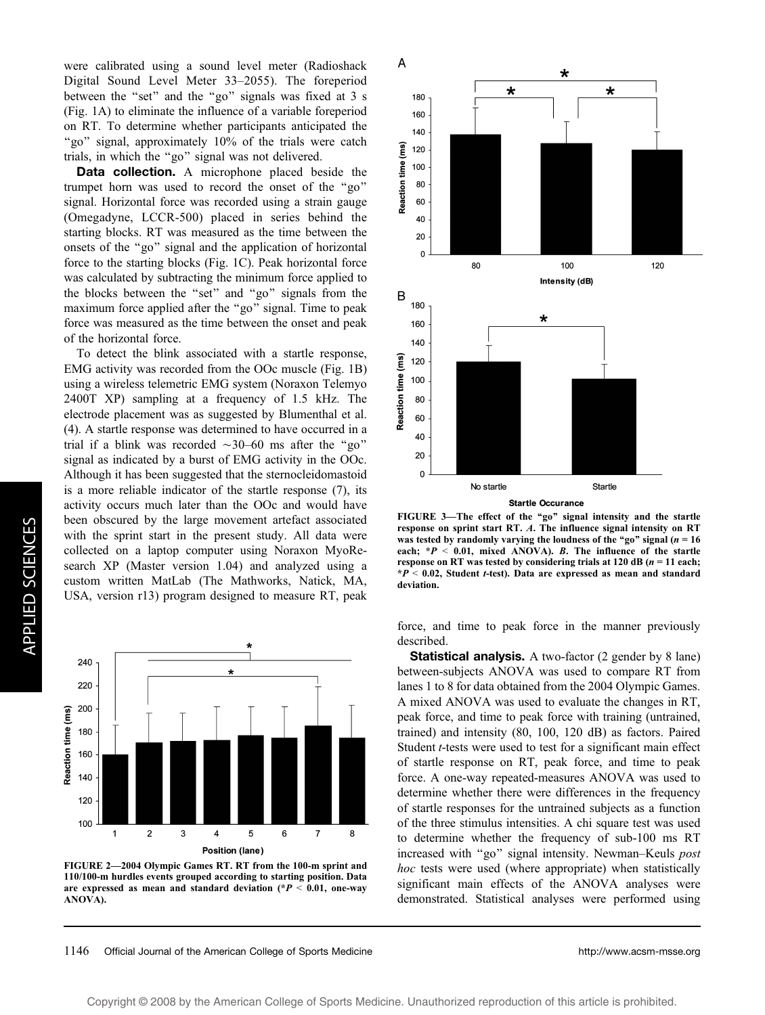were calibrated using a sound level meter (Radioshack Digital Sound Level Meter 33–2055). The foreperiod between the ''set'' and the ''go'' signals was fixed at 3 s (Fig. 1A) to eliminate the influence of a variable foreperiod on RT. To determine whether participants anticipated the "go" signal, approximately 10% of the trials were catch trials, in which the ''go'' signal was not delivered.

**Data collection.** A microphone placed beside the trumpet horn was used to record the onset of the ''go'' signal. Horizontal force was recorded using a strain gauge (Omegadyne, LCCR-500) placed in series behind the starting blocks. RT was measured as the time between the onsets of the ''go'' signal and the application of horizontal force to the starting blocks (Fig. 1C). Peak horizontal force was calculated by subtracting the minimum force applied to the blocks between the ''set'' and ''go'' signals from the maximum force applied after the ''go'' signal. Time to peak force was measured as the time between the onset and peak of the horizontal force.

To detect the blink associated with a startle response, EMG activity was recorded from the OOc muscle (Fig. 1B) using a wireless telemetric EMG system (Noraxon Telemyo 2400T XP) sampling at a frequency of 1.5 kHz. The electrode placement was as suggested by Blumenthal et al. (4). A startle response was determined to have occurred in a trial if a blink was recorded  $\sim$ 30–60 ms after the "go" signal as indicated by a burst of EMG activity in the OOc. Although it has been suggested that the sternocleidomastoid is a more reliable indicator of the startle response (7), its activity occurs much later than the OOc and would have been obscured by the large movement artefact associated with the sprint start in the present study. All data were collected on a laptop computer using Noraxon MyoResearch XP (Master version 1.04) and analyzed using a custom written MatLab (The Mathworks, Natick, MA, USA, version r13) program designed to measure RT, peak



FIGURE 2—2004 Olympic Games RT. RT from the 100-m sprint and 110/100-m hurdles events grouped according to starting position. Data are expressed as mean and standard deviation  $(*P < 0.01,$  one-way ANOVA).



FIGURE 3-The effect of the "go" signal intensity and the startle response on sprint start RT. A. The influence signal intensity on RT was tested by randomly varying the loudness of the "go" signal ( $n = 16$ ) each;  $*P < 0.01$ , mixed ANOVA). B. The influence of the startle response on RT was tested by considering trials at 120 dB ( $n = 11$  each;  $*P < 0.02$ , Student t-test). Data are expressed as mean and standard deviation.

force, and time to peak force in the manner previously described.

**Statistical analysis.** A two-factor (2 gender by 8 lane) between-subjects ANOVA was used to compare RT from lanes 1 to 8 for data obtained from the 2004 Olympic Games. A mixed ANOVA was used to evaluate the changes in RT, peak force, and time to peak force with training (untrained, trained) and intensity (80, 100, 120 dB) as factors. Paired Student *t*-tests were used to test for a significant main effect of startle response on RT, peak force, and time to peak force. A one-way repeated-measures ANOVA was used to determine whether there were differences in the frequency of startle responses for the untrained subjects as a function of the three stimulus intensities. A chi square test was used to determine whether the frequency of sub-100 ms RT increased with "go" signal intensity. Newman-Keuls post hoc tests were used (where appropriate) when statistically significant main effects of the ANOVA analyses were demonstrated. Statistical analyses were performed using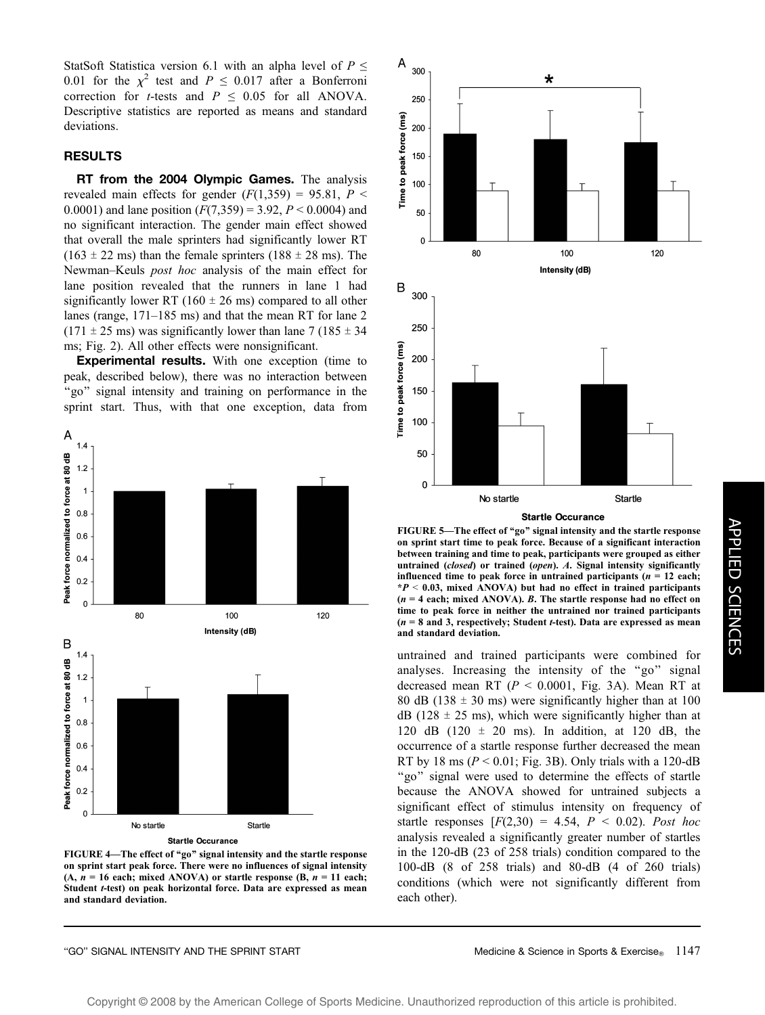StatSoft Statistica version 6.1 with an alpha level of  $P \leq$ 0.01 for the  $\chi^2$  test and  $P \le 0.017$  after a Bonferroni correction for *t*-tests and  $P \leq 0.05$  for all ANOVA. Descriptive statistics are reported as means and standard deviations.

# RESULTS

RT from the 2004 Olympic Games. The analysis revealed main effects for gender  $(F(1,359) = 95.81, P \leq$ 0.0001) and lane position  $(F(7,359) = 3.92, P \le 0.0004)$  and no significant interaction. The gender main effect showed that overall the male sprinters had significantly lower RT  $(163 \pm 22 \text{ ms})$  than the female sprinters  $(188 \pm 28 \text{ ms})$ . The Newman–Keuls post hoc analysis of the main effect for lane position revealed that the runners in lane 1 had significantly lower RT (160  $\pm$  26 ms) compared to all other lanes (range, 171–185 ms) and that the mean RT for lane 2  $(171 \pm 25 \text{ ms})$  was significantly lower than lane 7 (185  $\pm$  34) ms; Fig. 2). All other effects were nonsignificant.

**Experimental results.** With one exception (time to peak, described below), there was no interaction between "go" signal intensity and training on performance in the sprint start. Thus, with that one exception, data from



FIGURE 4-The effect of "go" signal intensity and the startle response on sprint start peak force. There were no influences of signal intensity  $(A, n = 16$  each; mixed ANOVA) or startle response  $(B, n = 11$  each; Student t-test) on peak horizontal force. Data are expressed as mean and standard deviation.



**Startle Occurance** 

FIGURE 5-The effect of "go" signal intensity and the startle response on sprint start time to peak force. Because of a significant interaction between training and time to peak, participants were grouped as either untrained (closed) or trained (open). A. Signal intensity significantly influenced time to peak force in untrained participants ( $n = 12$  each;  $*P < 0.03$ , mixed ANOVA) but had no effect in trained participants  $(n = 4 \text{ each}; \text{mixed ANOVA})$ . B. The startle response had no effect on time to peak force in neither the untrained nor trained participants  $(n = 8$  and 3, respectively; Student *t*-test). Data are expressed as mean and standard deviation.

untrained and trained participants were combined for analyses. Increasing the intensity of the "go" signal decreased mean RT ( $P < 0.0001$ , Fig. 3A). Mean RT at 80 dB (138  $\pm$  30 ms) were significantly higher than at 100  $dB$  (128  $\pm$  25 ms), which were significantly higher than at 120 dB (120  $\pm$  20 ms). In addition, at 120 dB, the occurrence of a startle response further decreased the mean RT by 18 ms ( $P < 0.01$ ; Fig. 3B). Only trials with a 120-dB "go" signal were used to determine the effects of startle because the ANOVA showed for untrained subjects a significant effect of stimulus intensity on frequency of startle responses  $[F(2,30) = 4.54, P \le 0.02)$ . Post hoc analysis revealed a significantly greater number of startles in the 120-dB (23 of 258 trials) condition compared to the 100-dB (8 of 258 trials) and 80-dB (4 of 260 trials) conditions (which were not significantly different from each other).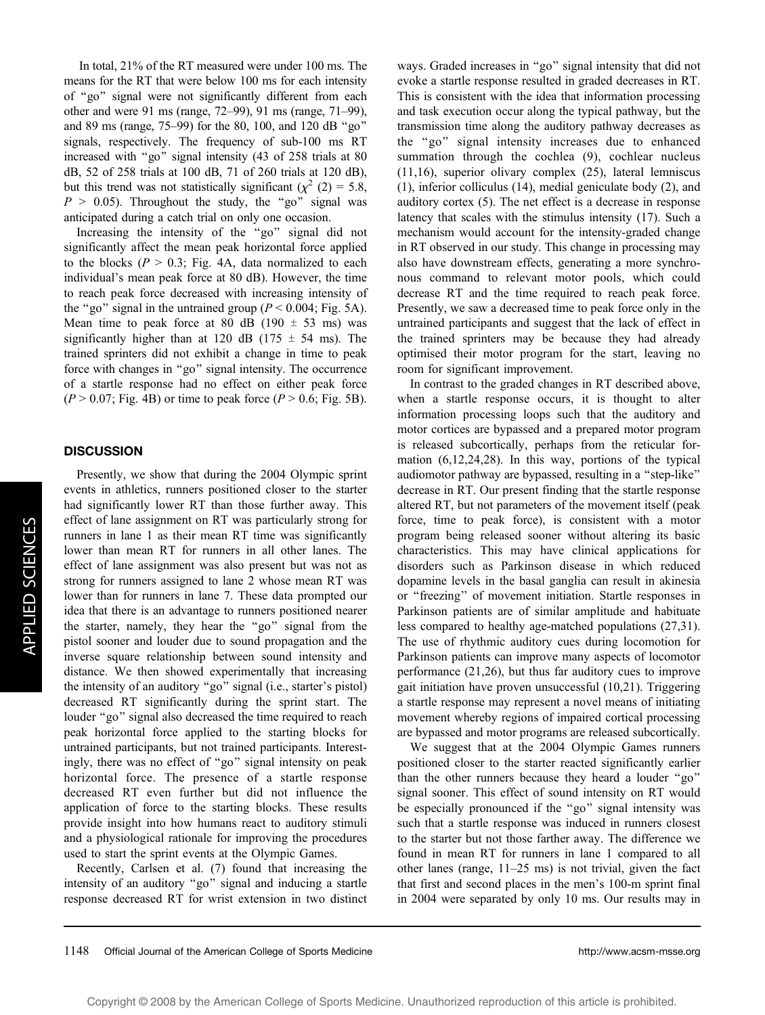In total, 21% of the RT measured were under 100 ms. The means for the RT that were below 100 ms for each intensity of ''go'' signal were not significantly different from each other and were 91 ms (range, 72–99), 91 ms (range, 71–99), and 89 ms (range, 75–99) for the 80, 100, and 120 dB ''go'' signals, respectively. The frequency of sub-100 ms RT increased with ''go'' signal intensity (43 of 258 trials at 80 dB, 52 of 258 trials at 100 dB, 71 of 260 trials at 120 dB), but this trend was not statistically significant ( $\chi^2$  (2) = 5.8,  $P > 0.05$ ). Throughout the study, the "go" signal was anticipated during a catch trial on only one occasion.

Increasing the intensity of the ''go'' signal did not significantly affect the mean peak horizontal force applied to the blocks ( $P > 0.3$ ; Fig. 4A, data normalized to each individual's mean peak force at 80 dB). However, the time to reach peak force decreased with increasing intensity of the "go" signal in the untrained group ( $P < 0.004$ ; Fig. 5A). Mean time to peak force at 80 dB (190  $\pm$  53 ms) was significantly higher than at 120 dB (175  $\pm$  54 ms). The trained sprinters did not exhibit a change in time to peak force with changes in ''go'' signal intensity. The occurrence of a startle response had no effect on either peak force  $(P > 0.07$ ; Fig. 4B) or time to peak force  $(P > 0.6$ ; Fig. 5B).

## **DISCUSSION**

Presently, we show that during the 2004 Olympic sprint events in athletics, runners positioned closer to the starter had significantly lower RT than those further away. This effect of lane assignment on RT was particularly strong for runners in lane 1 as their mean RT time was significantly lower than mean RT for runners in all other lanes. The effect of lane assignment was also present but was not as strong for runners assigned to lane 2 whose mean RT was lower than for runners in lane 7. These data prompted our idea that there is an advantage to runners positioned nearer the starter, namely, they hear the ''go'' signal from the pistol sooner and louder due to sound propagation and the inverse square relationship between sound intensity and distance. We then showed experimentally that increasing the intensity of an auditory ''go'' signal (i.e., starter's pistol) decreased RT significantly during the sprint start. The louder ''go'' signal also decreased the time required to reach peak horizontal force applied to the starting blocks for untrained participants, but not trained participants. Interestingly, there was no effect of ''go'' signal intensity on peak horizontal force. The presence of a startle response decreased RT even further but did not influence the application of force to the starting blocks. These results provide insight into how humans react to auditory stimuli and a physiological rationale for improving the procedures used to start the sprint events at the Olympic Games.

Recently, Carlsen et al. (7) found that increasing the intensity of an auditory "go" signal and inducing a startle response decreased RT for wrist extension in two distinct

ways. Graded increases in "go" signal intensity that did not evoke a startle response resulted in graded decreases in RT. This is consistent with the idea that information processing and task execution occur along the typical pathway, but the transmission time along the auditory pathway decreases as the ''go'' signal intensity increases due to enhanced summation through the cochlea (9), cochlear nucleus (11,16), superior olivary complex (25), lateral lemniscus (1), inferior colliculus (14), medial geniculate body (2), and auditory cortex (5). The net effect is a decrease in response latency that scales with the stimulus intensity (17). Such a mechanism would account for the intensity-graded change in RT observed in our study. This change in processing may also have downstream effects, generating a more synchronous command to relevant motor pools, which could decrease RT and the time required to reach peak force. Presently, we saw a decreased time to peak force only in the untrained participants and suggest that the lack of effect in the trained sprinters may be because they had already optimised their motor program for the start, leaving no room for significant improvement.

In contrast to the graded changes in RT described above, when a startle response occurs, it is thought to alter information processing loops such that the auditory and motor cortices are bypassed and a prepared motor program is released subcortically, perhaps from the reticular formation (6,12,24,28). In this way, portions of the typical audiomotor pathway are bypassed, resulting in a ''step-like'' decrease in RT. Our present finding that the startle response altered RT, but not parameters of the movement itself (peak force, time to peak force), is consistent with a motor program being released sooner without altering its basic characteristics. This may have clinical applications for disorders such as Parkinson disease in which reduced dopamine levels in the basal ganglia can result in akinesia or "freezing" of movement initiation. Startle responses in Parkinson patients are of similar amplitude and habituate less compared to healthy age-matched populations (27,31). The use of rhythmic auditory cues during locomotion for Parkinson patients can improve many aspects of locomotor performance (21,26), but thus far auditory cues to improve gait initiation have proven unsuccessful (10,21). Triggering a startle response may represent a novel means of initiating movement whereby regions of impaired cortical processing are bypassed and motor programs are released subcortically.

We suggest that at the 2004 Olympic Games runners positioned closer to the starter reacted significantly earlier than the other runners because they heard a louder ''go'' signal sooner. This effect of sound intensity on RT would be especially pronounced if the ''go'' signal intensity was such that a startle response was induced in runners closest to the starter but not those farther away. The difference we found in mean RT for runners in lane 1 compared to all other lanes (range, 11–25 ms) is not trivial, given the fact that first and second places in the men's 100-m sprint final in 2004 were separated by only 10 ms. Our results may in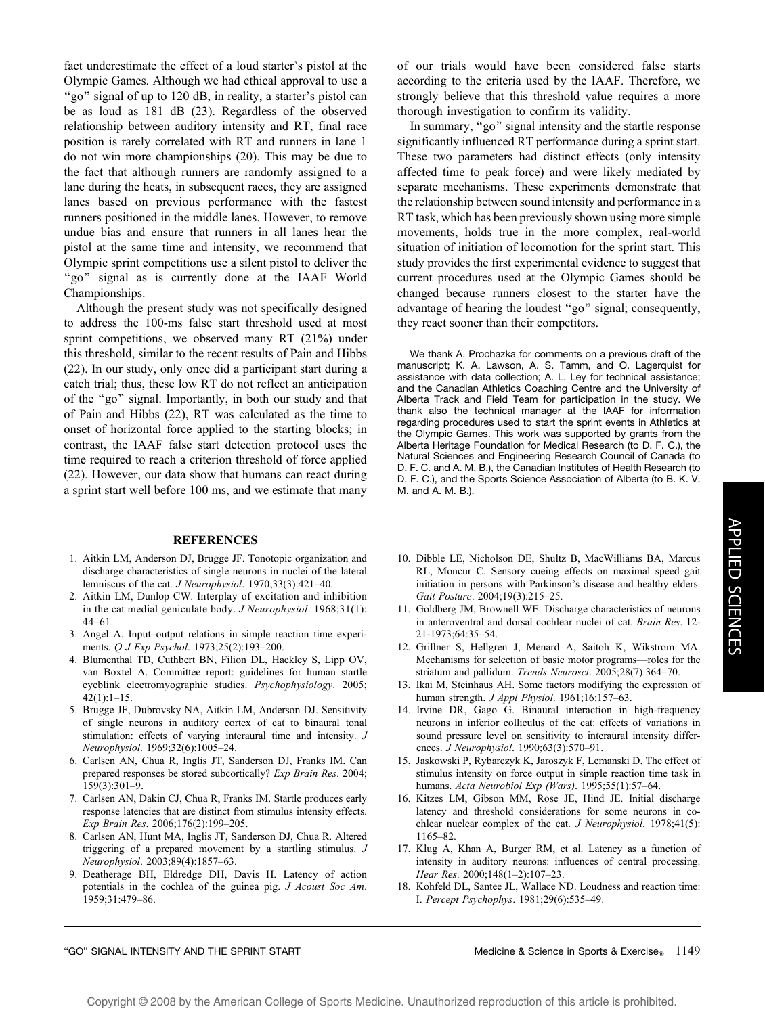fact underestimate the effect of a loud starter's pistol at the Olympic Games. Although we had ethical approval to use a "go" signal of up to 120 dB, in reality, a starter's pistol can be as loud as 181 dB (23). Regardless of the observed relationship between auditory intensity and RT, final race position is rarely correlated with RT and runners in lane 1 do not win more championships (20). This may be due to the fact that although runners are randomly assigned to a lane during the heats, in subsequent races, they are assigned lanes based on previous performance with the fastest runners positioned in the middle lanes. However, to remove undue bias and ensure that runners in all lanes hear the pistol at the same time and intensity, we recommend that Olympic sprint competitions use a silent pistol to deliver the "go" signal as is currently done at the IAAF World Championships.

Although the present study was not specifically designed to address the 100-ms false start threshold used at most sprint competitions, we observed many RT (21%) under this threshold, similar to the recent results of Pain and Hibbs (22). In our study, only once did a participant start during a catch trial; thus, these low RT do not reflect an anticipation of the ''go'' signal. Importantly, in both our study and that of Pain and Hibbs (22), RT was calculated as the time to onset of horizontal force applied to the starting blocks; in contrast, the IAAF false start detection protocol uses the time required to reach a criterion threshold of force applied (22). However, our data show that humans can react during a sprint start well before 100 ms, and we estimate that many

#### REFERENCES

- 1. Aitkin LM, Anderson DJ, Brugge JF. Tonotopic organization and discharge characteristics of single neurons in nuclei of the lateral lemniscus of the cat. J Neurophysiol. 1970;33(3):421–40.
- 2. Aitkin LM, Dunlop CW. Interplay of excitation and inhibition in the cat medial geniculate body. J Neurophysiol. 1968;31(1): 44–61.
- 3. Angel A. Input–output relations in simple reaction time experiments. Q J Exp Psychol. 1973;25(2):193–200.
- 4. Blumenthal TD, Cuthbert BN, Filion DL, Hackley S, Lipp OV, van Boxtel A. Committee report: guidelines for human startle eyeblink electromyographic studies. Psychophysiology. 2005;  $42(1):1-15.$
- 5. Brugge JF, Dubrovsky NA, Aitkin LM, Anderson DJ. Sensitivity of single neurons in auditory cortex of cat to binaural tonal stimulation: effects of varying interaural time and intensity. J Neurophysiol. 1969;32(6):1005–24.
- 6. Carlsen AN, Chua R, Inglis JT, Sanderson DJ, Franks IM. Can prepared responses be stored subcortically? Exp Brain Res. 2004; 159(3):301–9.
- 7. Carlsen AN, Dakin CJ, Chua R, Franks IM. Startle produces early response latencies that are distinct from stimulus intensity effects. Exp Brain Res. 2006;176(2):199–205.
- 8. Carlsen AN, Hunt MA, Inglis JT, Sanderson DJ, Chua R. Altered triggering of a prepared movement by a startling stimulus. J Neurophysiol. 2003;89(4):1857–63.
- 9. Deatherage BH, Eldredge DH, Davis H. Latency of action potentials in the cochlea of the guinea pig. J Acoust Soc Am. 1959;31:479–86.

of our trials would have been considered false starts according to the criteria used by the IAAF. Therefore, we strongly believe that this threshold value requires a more thorough investigation to confirm its validity.

In summary, ''go'' signal intensity and the startle response significantly influenced RT performance during a sprint start. These two parameters had distinct effects (only intensity affected time to peak force) and were likely mediated by separate mechanisms. These experiments demonstrate that the relationship between sound intensity and performance in a RT task, which has been previously shown using more simple movements, holds true in the more complex, real-world situation of initiation of locomotion for the sprint start. This study provides the first experimental evidence to suggest that current procedures used at the Olympic Games should be changed because runners closest to the starter have the advantage of hearing the loudest ''go'' signal; consequently, they react sooner than their competitors.

We thank A. Prochazka for comments on a previous draft of the manuscript; K. A. Lawson, A. S. Tamm, and O. Lagerquist for assistance with data collection; A. L. Ley for technical assistance; and the Canadian Athletics Coaching Centre and the University of Alberta Track and Field Team for participation in the study. We thank also the technical manager at the IAAF for information regarding procedures used to start the sprint events in Athletics at the Olympic Games. This work was supported by grants from the Alberta Heritage Foundation for Medical Research (to D. F. C.), the Natural Sciences and Engineering Research Council of Canada (to D. F. C. and A. M. B.), the Canadian Institutes of Health Research (to D. F. C.), and the Sports Science Association of Alberta (to B. K. V. M. and A. M. B.).

- 10. Dibble LE, Nicholson DE, Shultz B, MacWilliams BA, Marcus RL, Moncur C. Sensory cueing effects on maximal speed gait initiation in persons with Parkinson's disease and healthy elders. Gait Posture. 2004;19(3):215–25.
- 11. Goldberg JM, Brownell WE. Discharge characteristics of neurons in anteroventral and dorsal cochlear nuclei of cat. Brain Res. 12- 21-1973;64:35–54.
- 12. Grillner S, Hellgren J, Menard A, Saitoh K, Wikstrom MA. Mechanisms for selection of basic motor programs—roles for the striatum and pallidum. Trends Neurosci. 2005;28(7):364–70.
- 13. Ikai M, Steinhaus AH. Some factors modifying the expression of human strength. J Appl Physiol. 1961;16:157–63.
- 14. Irvine DR, Gago G. Binaural interaction in high-frequency neurons in inferior colliculus of the cat: effects of variations in sound pressure level on sensitivity to interaural intensity differences. J Neurophysiol. 1990;63(3):570–91.
- 15. Jaskowski P, Rybarczyk K, Jaroszyk F, Lemanski D. The effect of stimulus intensity on force output in simple reaction time task in humans. Acta Neurobiol Exp (Wars). 1995;55(1):57–64.
- 16. Kitzes LM, Gibson MM, Rose JE, Hind JE. Initial discharge latency and threshold considerations for some neurons in cochlear nuclear complex of the cat.  $J$  Neurophysiol. 1978;41(5): 1165–82.
- 17. Klug A, Khan A, Burger RM, et al. Latency as a function of intensity in auditory neurons: influences of central processing. Hear Res. 2000;148(1–2):107–23.
- 18. Kohfeld DL, Santee JL, Wallace ND. Loudness and reaction time: I. Percept Psychophys. 1981;29(6):535–49.

#### "GO" SIGNAL INTENSITY AND THE SPRINT START MEDIC CONSIDERED MEDICINE & Science in Sports & Exercise<sub>®</sub> 1149